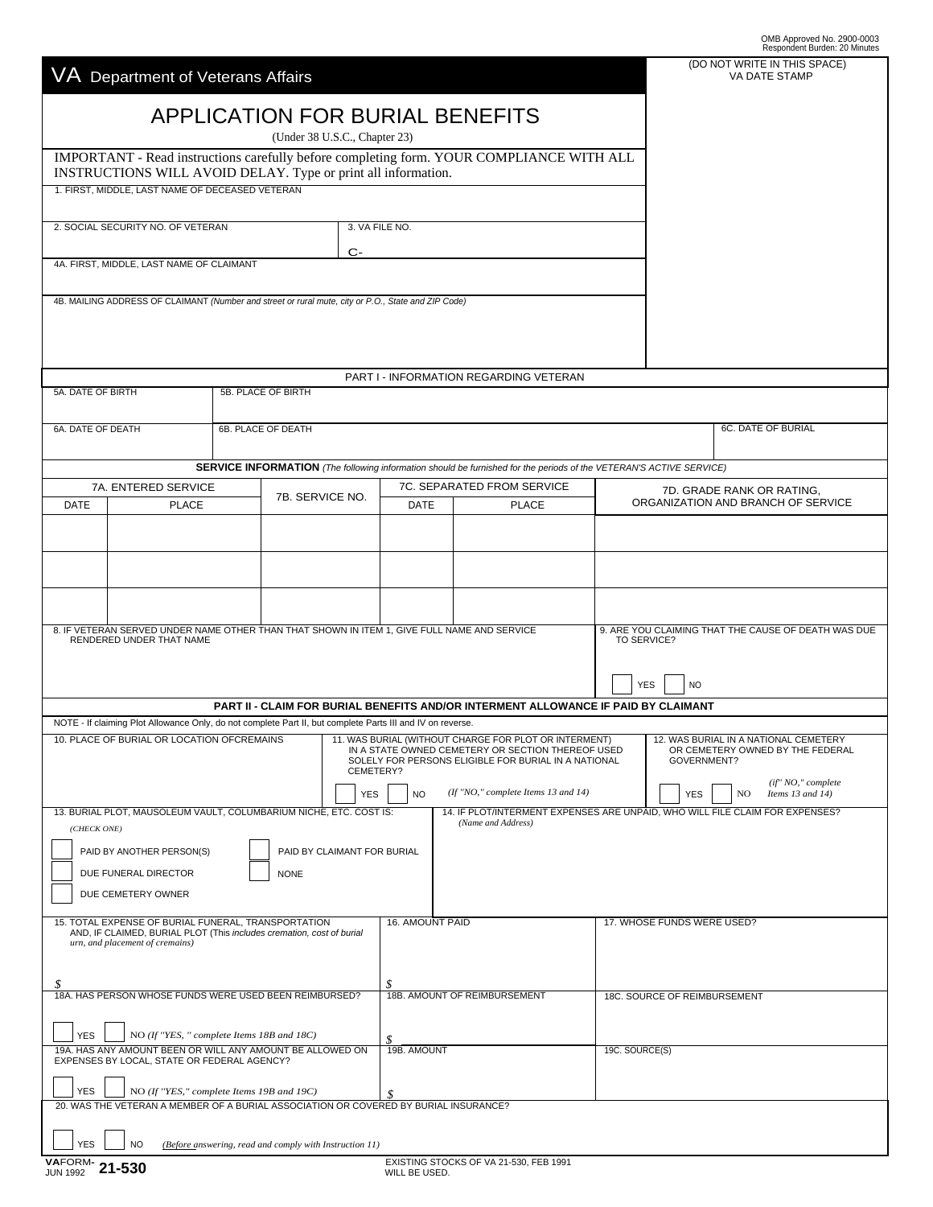|                                                                                                                                                          |                                                         |                               |                             |                                                                                                           |                                                                                                                            |            |                                                    | OMB Approved No. 2900-0003<br>Respondent Burden: 20 Minutes                  |
|----------------------------------------------------------------------------------------------------------------------------------------------------------|---------------------------------------------------------|-------------------------------|-----------------------------|-----------------------------------------------------------------------------------------------------------|----------------------------------------------------------------------------------------------------------------------------|------------|----------------------------------------------------|------------------------------------------------------------------------------|
| Department of Veterans Affairs                                                                                                                           |                                                         |                               |                             |                                                                                                           |                                                                                                                            |            |                                                    | (DO NOT WRITE IN THIS SPACE)<br>VA DATE STAMP                                |
|                                                                                                                                                          |                                                         |                               |                             |                                                                                                           |                                                                                                                            |            |                                                    |                                                                              |
|                                                                                                                                                          |                                                         | (Under 38 U.S.C., Chapter 23) |                             |                                                                                                           | <b>APPLICATION FOR BURIAL BENEFITS</b>                                                                                     |            |                                                    |                                                                              |
| IMPORTANT - Read instructions carefully before completing form. YOUR COMPLIANCE WITH ALL                                                                 |                                                         |                               |                             |                                                                                                           |                                                                                                                            |            |                                                    |                                                                              |
| INSTRUCTIONS WILL AVOID DELAY. Type or print all information.<br>1. FIRST, MIDDLE, LAST NAME OF DECEASED VETERAN                                         |                                                         |                               |                             |                                                                                                           |                                                                                                                            |            |                                                    |                                                                              |
|                                                                                                                                                          |                                                         |                               | 3. VA FILE NO.              |                                                                                                           |                                                                                                                            |            |                                                    |                                                                              |
| 2. SOCIAL SECURITY NO. OF VETERAN                                                                                                                        |                                                         |                               |                             |                                                                                                           |                                                                                                                            |            |                                                    |                                                                              |
| 4A. FIRST, MIDDLE, LAST NAME OF CLAIMANT                                                                                                                 |                                                         |                               |                             |                                                                                                           |                                                                                                                            |            |                                                    |                                                                              |
| 4B. MAILING ADDRESS OF CLAIMANT (Number and street or rural mute, city or P.O., State and ZIP Code)                                                      |                                                         |                               |                             |                                                                                                           |                                                                                                                            |            |                                                    |                                                                              |
|                                                                                                                                                          |                                                         |                               |                             |                                                                                                           |                                                                                                                            |            |                                                    |                                                                              |
|                                                                                                                                                          |                                                         |                               |                             |                                                                                                           |                                                                                                                            |            |                                                    |                                                                              |
|                                                                                                                                                          |                                                         |                               |                             |                                                                                                           | PART I - INFORMATION REGARDING VETERAN                                                                                     |            |                                                    |                                                                              |
| 5A. DATE OF BIRTH                                                                                                                                        | 5B. PLACE OF BIRTH                                      |                               |                             |                                                                                                           |                                                                                                                            |            |                                                    |                                                                              |
| 6A. DATE OF DEATH                                                                                                                                        | 6B. PLACE OF DEATH                                      |                               |                             |                                                                                                           |                                                                                                                            |            |                                                    | 6C. DATE OF BURIAL                                                           |
|                                                                                                                                                          |                                                         |                               |                             |                                                                                                           | <b>SERVICE INFORMATION</b> (The following information should be furnished for the periods of the VETERAN'S ACTIVE SERVICE) |            |                                                    |                                                                              |
| 7A. ENTERED SERVICE                                                                                                                                      |                                                         | 7B. SERVICE NO.               |                             | 7C. SEPARATED FROM SERVICE                                                                                |                                                                                                                            |            |                                                    | 7D. GRADE RANK OR RATING,                                                    |
| <b>DATE</b><br><b>PLACE</b>                                                                                                                              |                                                         |                               |                             | <b>DATE</b>                                                                                               | <b>PLACE</b>                                                                                                               |            | ORGANIZATION AND BRANCH OF SERVICE                 |                                                                              |
|                                                                                                                                                          |                                                         |                               |                             |                                                                                                           |                                                                                                                            |            |                                                    |                                                                              |
|                                                                                                                                                          |                                                         |                               |                             |                                                                                                           |                                                                                                                            |            |                                                    |                                                                              |
|                                                                                                                                                          |                                                         |                               |                             |                                                                                                           |                                                                                                                            |            |                                                    |                                                                              |
| 8. IF VETERAN SERVED UNDER NAME OTHER THAN THAT SHOWN IN ITEM 1, GIVE FULL NAME AND SERVICE                                                              |                                                         |                               |                             |                                                                                                           | 9. ARE YOU CLAIMING THAT THE CAUSE OF DEATH WAS DUE                                                                        |            |                                                    |                                                                              |
| RENDERED UNDER THAT NAME                                                                                                                                 |                                                         |                               |                             |                                                                                                           |                                                                                                                            |            | <b>TO SERVICE?</b>                                 |                                                                              |
|                                                                                                                                                          |                                                         |                               |                             |                                                                                                           |                                                                                                                            |            | <b>YES</b><br><b>NO</b>                            |                                                                              |
|                                                                                                                                                          |                                                         |                               |                             |                                                                                                           | PART II - CLAIM FOR BURIAL BENEFITS AND/OR INTERMENT ALLOWANCE IF PAID BY CLAIMANT                                         |            |                                                    |                                                                              |
| NOTE - If claiming Plot Allowance Only, do not complete Part II, but complete Parts III and IV on reverse.<br>10. PLACE OF BURIAL OR LOCATION OFCREMAINS |                                                         |                               |                             |                                                                                                           | 11. WAS BURIAL (WITHOUT CHARGE FOR PLOT OR INTERMENT)                                                                      |            |                                                    | 12. WAS BURIAL IN A NATIONAL CEMETERY                                        |
|                                                                                                                                                          |                                                         |                               | CEMETERY?                   | IN A STATE OWNED CEMETERY OR SECTION THEREOF USED<br>SOLELY FOR PERSONS ELIGIBLE FOR BURIAL IN A NATIONAL |                                                                                                                            |            | GOVERNMENT?                                        | OR CEMETERY OWNED BY THE FEDERAL                                             |
| <b>YES</b>                                                                                                                                               |                                                         |                               | <b>NO</b>                   | (If "NO," complete Items 13 and 14)                                                                       |                                                                                                                            | <b>YES</b> | (if" NO," complete<br>NO.<br>Items $13$ and $14$ ) |                                                                              |
| 13. BURIAL PLOT, MAUSOLEUM VAULT, COLUMBARIUM NICHE, ETC, COST IS:                                                                                       |                                                         |                               |                             |                                                                                                           | (Name and Address)                                                                                                         |            |                                                    | 14. IF PLOT/INTERMENT EXPENSES ARE UNPAID, WHO WILL FILE CLAIM FOR EXPENSES? |
| (CHECK ONE)<br>PAID BY ANOTHER PERSON(S)                                                                                                                 |                                                         |                               | PAID BY CLAIMANT FOR BURIAL |                                                                                                           |                                                                                                                            |            |                                                    |                                                                              |
| DUE FUNERAL DIRECTOR                                                                                                                                     |                                                         | <b>NONE</b>                   |                             |                                                                                                           |                                                                                                                            |            |                                                    |                                                                              |
| DUE CEMETERY OWNER                                                                                                                                       |                                                         |                               |                             |                                                                                                           |                                                                                                                            |            |                                                    |                                                                              |
| 15. TOTAL EXPENSE OF BURIAL FUNERAL, TRANSPORTATION<br>AND, IF CLAIMED, BURIAL PLOT (This includes cremation, cost of burial                             |                                                         |                               |                             | <b>16. AMOUNT PAID</b>                                                                                    |                                                                                                                            |            | 17. WHOSE FUNDS WERE USED?                         |                                                                              |
| urn, and placement of cremains)                                                                                                                          |                                                         |                               |                             |                                                                                                           |                                                                                                                            |            |                                                    |                                                                              |
| \$                                                                                                                                                       |                                                         |                               |                             | S                                                                                                         |                                                                                                                            |            |                                                    |                                                                              |
| 18A. HAS PERSON WHOSE FUNDS WERE USED BEEN REIMBURSED?                                                                                                   |                                                         |                               |                             | 18B. AMOUNT OF REIMBURSEMENT                                                                              |                                                                                                                            |            | 18C. SOURCE OF REIMBURSEMENT                       |                                                                              |
| <b>YES</b><br>NO (If "YES, " complete Items 18B and 18C)                                                                                                 |                                                         |                               |                             | \$.                                                                                                       |                                                                                                                            |            |                                                    |                                                                              |
| 19A. HAS ANY AMOUNT BEEN OR WILL ANY AMOUNT BE ALLOWED ON<br>EXPENSES BY LOCAL, STATE OR FEDERAL AGENCY?                                                 |                                                         |                               |                             | 19B. AMOUNT                                                                                               |                                                                                                                            |            | 19C. SOURCE(S)                                     |                                                                              |
| <b>YES</b><br>NO (If "YES," complete Items 19B and 19C)                                                                                                  |                                                         |                               |                             |                                                                                                           |                                                                                                                            |            |                                                    |                                                                              |
| 20. WAS THE VETERAN A MEMBER OF A BURIAL ASSOCIATION OR COVERED BY BURIAL INSURANCE?                                                                     |                                                         |                               |                             |                                                                                                           |                                                                                                                            |            |                                                    |                                                                              |
| <b>YES</b><br><b>NO</b>                                                                                                                                  | (Before answering, read and comply with Instruction 11) |                               |                             |                                                                                                           |                                                                                                                            |            |                                                    |                                                                              |
| VAFORM- 21-530                                                                                                                                           |                                                         |                               |                             | WILL BE USED.                                                                                             | EXISTING STOCKS OF VA 21-530, FEB 1991                                                                                     |            |                                                    |                                                                              |